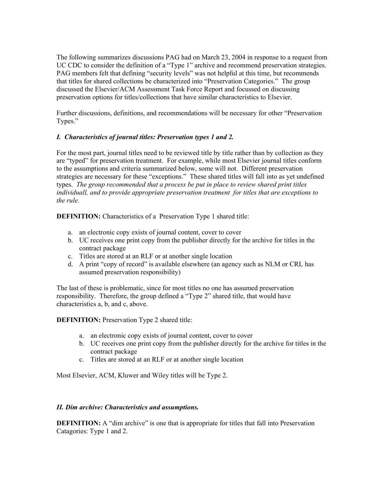The following summarizes discussions PAG had on March 23, 2004 in response to a request from UC CDC to consider the definition of a "Type 1" archive and recommend preservation strategies. PAG members felt that defining "security levels" was not helpful at this time, but recommends that titles for shared collections be characterized into "Preservation Categories." The group discussed the Elsevier/ACM Assessment Task Force Report and focussed on discussing preservation options for titles/collections that have similar characteristics to Elsevier.

Further discussions, definitions, and recommendations will be necessary for other "Preservation Types."

## *I. Characteristics of journal titles: Preservation types 1 and 2.*

For the most part, journal titles need to be reviewed title by title rather than by collection as they are "typed" for preservation treatment. For example, while most Elsevier journal titles conform to the assumptions and criteria summarized below, some will not. Different preservation strategies are necessary for these "exceptions." These shared titles will fall into as yet undefined types. *The group recommended that a process be put in place to review shared print titles individuall, and to provide appropriate preservation treatment for titles that are exceptions to the rule.* 

**DEFINITION:** Characteristics of a Preservation Type 1 shared title:

- a. an electronic copy exists of journal content, cover to cover
- b. UC receives one print copy from the publisher directly for the archive for titles in the contract package
- c. Titles are stored at an RLF or at another single location
- d. A print "copy of record" is available elsewhere (an agency such as NLM or CRL has assumed preservation responsibility)

The last of these is problematic, since for most titles no one has assumed preservation responsibility. Therefore, the group defined a "Type 2" shared title, that would have characteristics a, b, and c, above.

**DEFINITION:** Preservation Type 2 shared title:

- a. an electronic copy exists of journal content, cover to cover
- b. UC receives one print copy from the publisher directly for the archive for titles in the contract package
- c. Titles are stored at an RLF or at another single location

Most Elsevier, ACM, Kluwer and Wiley titles will be Type 2.

## *II. Dim archive: Characteristics and assumptions.*

**DEFINITION:** A "dim archive" is one that is appropriate for titles that fall into Preservation Catagories: Type 1 and 2.